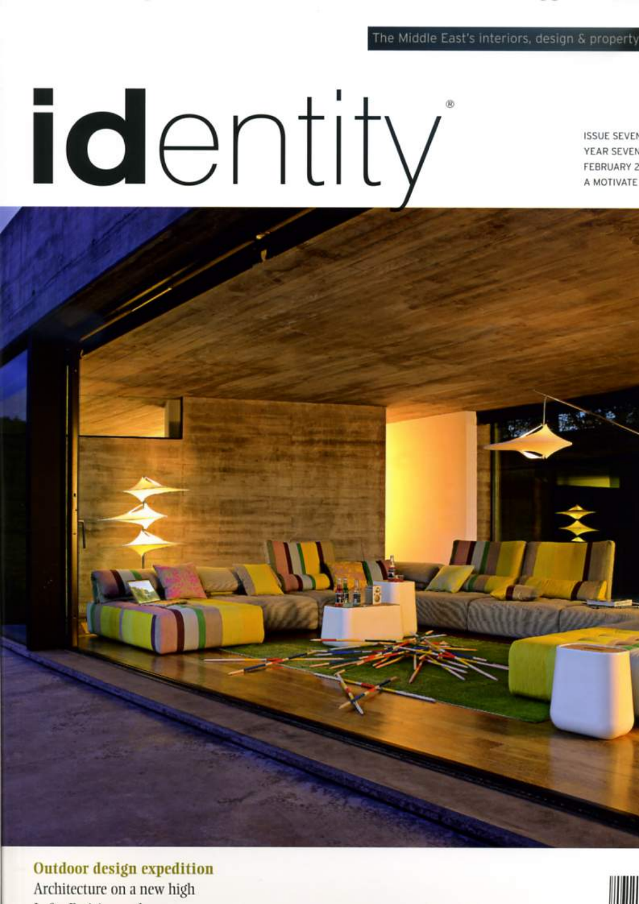## The Middle East's interiors, design & property

identity

**ISSUE SEVEN** YEAR SEVEN **FEBRUARY 2** A MOTIVATE

**Outdoor design expedition** Architecture on a new high

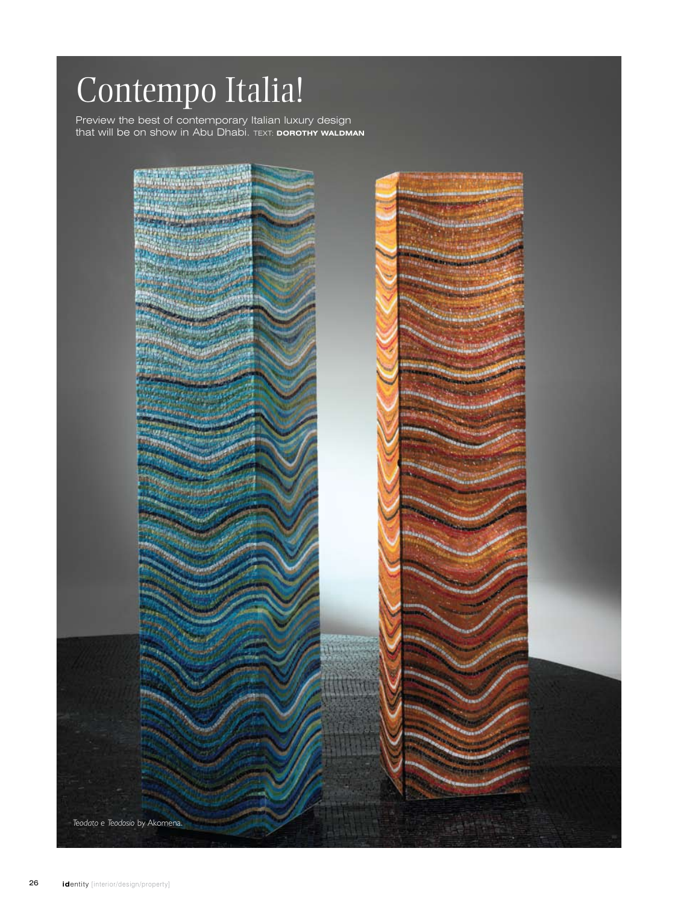## Contempo Italia!

Preview the best of contemporary Italian luxury design that will be on show in Abu Dhabi. text: **dorothy waldman**

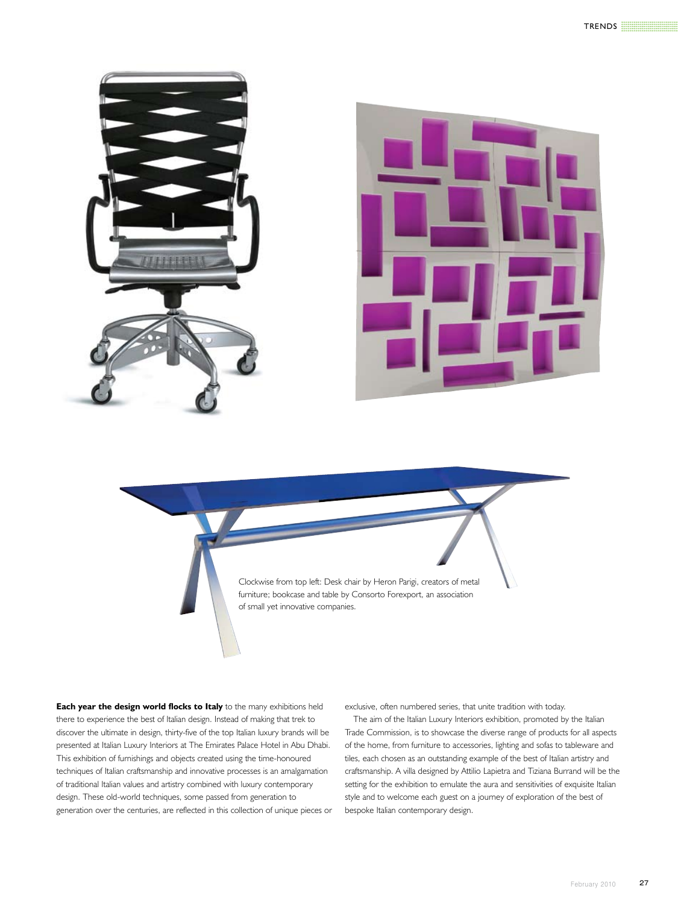

Clockwise from top left: Desk chair by Heron Parigi, creators of metal furniture; bookcase and table by Consorto Forexport, an association of small yet innovative companies.

**Each year the design world flocks to Italy** to the many exhibitions held there to experience the best of Italian design. Instead of making that trek to discover the ultimate in design, thirty-five of the top Italian luxury brands will be presented at Italian Luxury Interiors at The Emirates Palace Hotel in Abu Dhabi. This exhibition of furnishings and objects created using the time-honoured techniques of Italian craftsmanship and innovative processes is an amalgamation of traditional Italian values and artistry combined with luxury contemporary design. These old-world techniques, some passed from generation to generation over the centuries, are reflected in this collection of unique pieces or exclusive, often numbered series, that unite tradition with today.

The aim of the Italian Luxury Interiors exhibition, promoted by the Italian Trade Commission, is to showcase the diverse range of products for all aspects of the home, from furniture to accessories, lighting and sofas to tableware and tiles, each chosen as an outstanding example of the best of Italian artistry and craftsmanship. A villa designed by Attilio Lapietra and Tiziana Burrand will be the setting for the exhibition to emulate the aura and sensitivities of exquisite Italian style and to welcome each guest on a journey of exploration of the best of bespoke Italian contemporary design.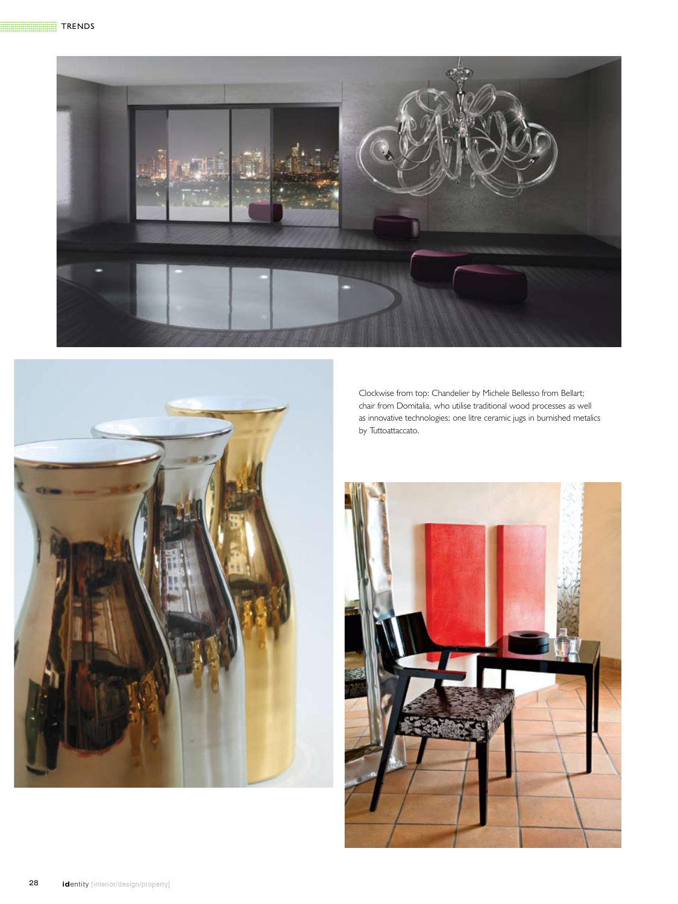



Clockwise from top: Chandelier by Michele Bellesso from Bellart; chair from Domitalia, who utilise traditional wood processes as well as innovative technologies; one litre ceramic jugs in burnished metalics by Tuttoattaccato.